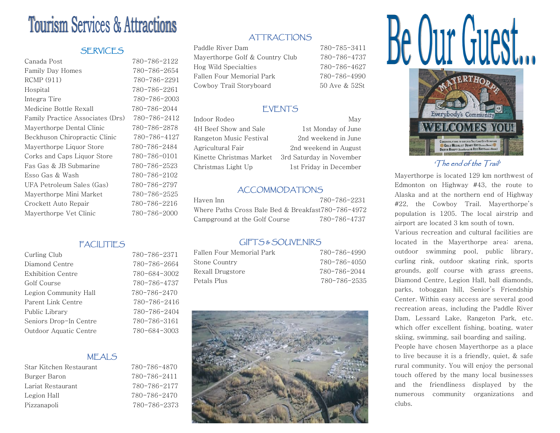# **Tourism Services & Attractions**

#### **SERVICES**

| 780-786-2122 |
|--------------|
| 780-786-2654 |
| 780-786-2291 |
| 780-786-2261 |
| 780-786-2003 |
| 780-786-2044 |
| 780-786-2412 |
| 780-786-2878 |
| 780-786-4127 |
| 780-786-2484 |
| 780-786-0101 |
| 780-786-2523 |
| 780-786-2102 |
| 780-786-2797 |
| 780-786-2525 |
| 780-786-2216 |
| 780-786-2000 |
|              |

## **ATTRACTIONS**

Paddle River Dam 780-785-3411 Mayerthorpe Golf & Country Club 780-786-4737 Hog Wild Specialties 780-786-4627 Fallen Four Memorial Park 780-786-4990 Cowboy Trail Storyboard 50 Ave & 52St

#### EVENTS

4H Beef Show and Sale 1st Monday of June Rangeton Music Festival 2nd weekend in June Agricultural Fair 2nd weekend in August Kinette Christmas Market 3rd Saturday in November Christmas Light Up 1st Friday in December

Indoor Rodeo May

### ACCOMMODATIONS

| Haven Inn                                          | 780-786-2231 |
|----------------------------------------------------|--------------|
| Where Paths Cross Bale Bed & Breakfast780-786-4972 |              |
| Campground at the Golf Course                      | 780-786-4737 |

#### GIFTS & SOUVENIRS

| Fallen Four Memorial Park | 780-786-4990 |
|---------------------------|--------------|
| Stone Country             | 780-786-4050 |
| Rexall Drugstore          | 780-786-2044 |
| Petals Plus               | 780-786-2535 |
|                           |              |





'The end of the Trail'

Mayerthorpe is located 129 km northwest of Edmonton on Highway #43, the route to Alaska and at the northern end of Highway #22, the Cowboy Trail. Mayerthorpe's population is 1205. The local airstrip and airport are located 3 km south of town.

Various recreation and cultural facilities are located in the Mayerthorpe area: arena, outdoor swimming pool, public library, curling rink, outdoor skating rink, sports grounds, golf course with grass greens, Diamond Centre, Legion Hall, ball diamonds, parks, toboggan hill, Senior's Friendship Center. Within easy access are several good recreation areas, including the Paddle River Dam, Lessard Lake, Rangeton Park, etc. which offer excellent fishing, boating, water skiing, swimming, sail boarding and sailing. People have chosen Mayerthorpe as a place to live because it is a friendly, quiet, & safe rural community. You will enjoy the personal touch offered by the many local businesses and the friendliness displayed by the numerous community organizations and clubs.

#### **FACILITIES** Curling Club 780-786-2371

| Diamond Centre         |
|------------------------|
| Exhibition Centre      |
| Golf Course            |
| Legion Community Hall  |
| Parent Link Centre     |
| Public Library         |
| Seniors Drop-In Centre |
| Outdoor Aquatic Centre |

#### MEALS

| Star Kitchen Restaurant |  |
|-------------------------|--|
| Burger Baron            |  |
| Lariat Restaurant       |  |
| Legion Hall             |  |
| Pizzanapoli             |  |

# Star Kitchen Restaurant 780-786-4870

Burger Baron 780-786-2411 Lariat Restaurant 780-786-2177 Legion Hall 780-786-2470 Pizzanapoli 780-786-2373

780-786-2664 Exhibition Centre 780-684-3002 780-786-4737 Legion Community Hall 780-786-2470 Parent Link Centre 780-786-2416 Public Library 780-786-2404 Seniors Drop-In Centre 780-786-3161 780-684-3003

| t voursc    |       |  |
|-------------|-------|--|
|             |       |  |
|             |       |  |
| 1&SOUVENIRS |       |  |
| - امده ۲    | 700 ' |  |

| UIL LOCOUUVENINO           |            |
|----------------------------|------------|
| <sup>.</sup> Memorial Park | 780-786-49 |
| trv                        | 780-786-40 |
| store:                     | 780-786-20 |
|                            | 780–786–2  |